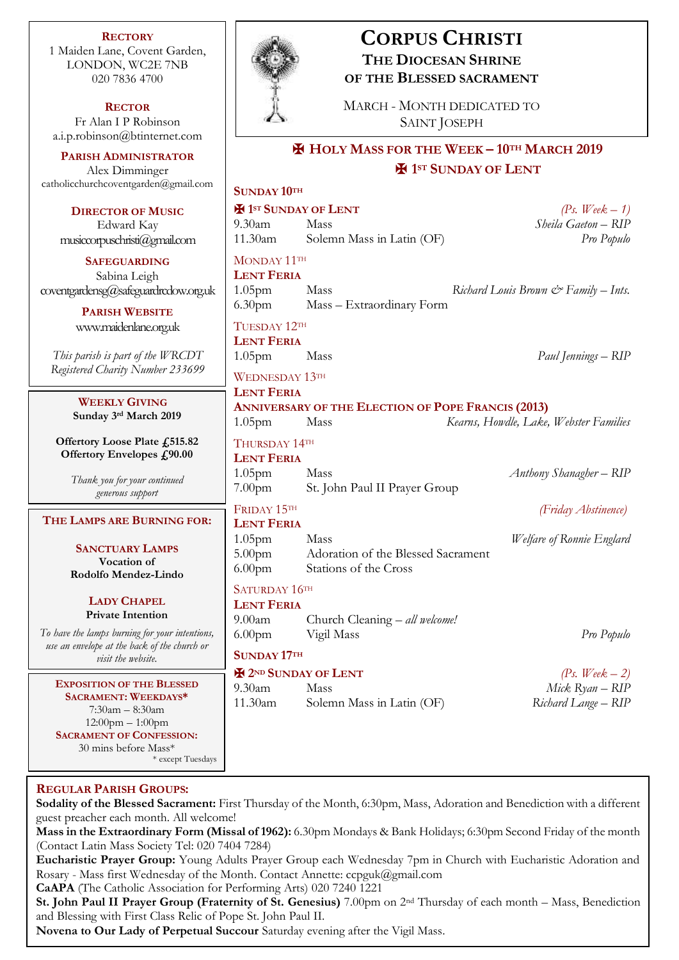| <b>RECTORY</b><br>1 Maiden Lane, Covent Garden,<br>LONDON, WC2E 7NB<br>020 7836 4700                                                                                     |                                                                                                                                                        | <b>CORPUS CHRISTI</b><br><b>THE DIOCESAN SHRINE</b><br>OF THE BLESSED SACRAMENT |                                                            |
|--------------------------------------------------------------------------------------------------------------------------------------------------------------------------|--------------------------------------------------------------------------------------------------------------------------------------------------------|---------------------------------------------------------------------------------|------------------------------------------------------------|
| <b>RECTOR</b><br>Fr Alan I P Robinson<br>a.i.p.robinson@btinternet.com                                                                                                   | MARCH - MONTH DEDICATED TO<br>SAINT JOSEPH                                                                                                             |                                                                                 |                                                            |
| <b>PARISH ADMINISTRATOR</b><br>Alex Dimminger<br>catholicchurchcoventgarden@gmail.com                                                                                    | <b>HE HOLY MASS FOR THE WEEK - 10TH MARCH 2019</b><br><b>H</b> 1st SUNDAY OF LENT                                                                      |                                                                                 |                                                            |
| <b>DIRECTOR OF MUSIC</b><br>Edward Kay<br>musicopuschristi(Qgmal.com)                                                                                                    | SUNDAY 10TH<br><b>EX 1ST SUNDAY OF LENT</b><br>$9.30$ am<br>$11.30$ am                                                                                 | Mass<br>Solemn Mass in Latin (OF)                                               | (Ps. Week $-1$ )<br>Sheila Gaeton - RIP<br>Pro Populo      |
| <b>SAFEGUARDING</b><br>Sabina Leigh<br>coventgardensg@safeguardrcdow.org.uk<br><b>PARISH WEBSITE</b>                                                                     | MONDAY 11TH<br><b>LENT FERIA</b><br>1.05 <sub>pm</sub><br>6.30 <sub>pm</sub>                                                                           | Mass<br>Mass - Extraordinary Form                                               | Richard Louis Brown & Family - Ints.                       |
| www.maidenlane.org.uk<br>This parish is part of the WRCDT<br>Registered Charity Number 233699                                                                            | TUESDAY 12TH<br><b>LENT FERIA</b><br>1.05 <sub>pm</sub><br><b>WEDNESDAY 13TH</b>                                                                       | Mass                                                                            | Paul Jennings - RIP                                        |
| <b>WEEKLY GIVING</b><br>Sunday 3rd March 2019                                                                                                                            | <b>LENT FERIA</b><br><b>ANNIVERSARY OF THE ELECTION OF POPE FRANCIS (2013)</b><br>Kearns, Howdle, Lake, Webster Families<br>1.05 <sub>pm</sub><br>Mass |                                                                                 |                                                            |
| Offertory Loose Plate £515.82<br>Offertory Envelopes £90.00                                                                                                              | THURSDAY 14TH<br><b>LENT FERIA</b><br>1.05 <sub>pm</sub>                                                                                               | Mass                                                                            | Anthony Shanagher - RIP                                    |
| Thank you for your continued<br>generous support                                                                                                                         | 7.00 <sub>pm</sub>                                                                                                                                     | St. John Paul II Prayer Group                                                   |                                                            |
| THE LAMPS ARE BURNING FOR:                                                                                                                                               | FRIDAY 15TH<br><b>LENT FERIA</b>                                                                                                                       |                                                                                 | (Friday Abstinence)                                        |
| <b>SANCTUARY LAMPS</b><br>Vocation of<br>Rodolfo Mendez-Lindo                                                                                                            | 1.05 <sub>pm</sub><br>5.00 <sub>pm</sub><br>6.00 <sub>pm</sub>                                                                                         | Mass<br>Adoration of the Blessed Sacrament<br>Stations of the Cross             | Welfare of Ronnie Englard                                  |
| <b>LADY CHAPEL</b><br><b>Private Intention</b><br>To have the lamps burning for your intentions,                                                                         | SATURDAY 16TH<br><b>LENT FERIA</b><br>9.00am<br>6.00 <sub>pm</sub>                                                                                     | Church Cleaning - all welcome!<br>Vigil Mass                                    | Pro Populo                                                 |
| use an envelope at the back of the church or<br>visit the website.                                                                                                       | SUNDAY 17TH<br><b>H</b> 2ND SUNDAY OF LENT                                                                                                             |                                                                                 |                                                            |
| <b>EXPOSITION OF THE BLESSED</b><br><b>SACRAMENT: WEEKDAYS*</b><br>$7:30am - 8:30am$<br>$12:00$ pm $-1:00$ pm<br><b>SACRAMENT OF CONFESSION:</b><br>30 mins before Mass* | 9.30 <sub>am</sub><br>11.30am                                                                                                                          | Mass<br>Solemn Mass in Latin (OF)                                               | (Ps. Week $-2$ )<br>Mick Ryan - RIP<br>Richard Lange - RIP |

## **REGULAR PARISH GROUPS:**

**Sodality of the Blessed Sacrament:** First Thursday of the Month, 6:30pm, Mass, Adoration and Benediction with a different guest preacher each month. All welcome!

**Mass in the Extraordinary Form (Missal of 1962):** 6.30pm Mondays & Bank Holidays; 6:30pm Second Friday of the month (Contact Latin Mass Society Tel: 020 7404 7284)

**Eucharistic Prayer Group:** Young Adults Prayer Group each Wednesday 7pm in Church with Eucharistic Adoration and Rosary - Mass first Wednesday of the Month. Contact Annette: ccpguk@gmail.com

**CaAPA** (The Catholic Association for Performing Arts) 020 7240 1221

\* except Tuesdays

**St. John Paul II Prayer Group (Fraternity of St. Genesius)** 7.00pm on 2nd Thursday of each month – Mass, Benediction and Blessing with First Class Relic of Pope St. John Paul II.

**Novena to Our Lady of Perpetual Succour** Saturday evening after the Vigil Mass.